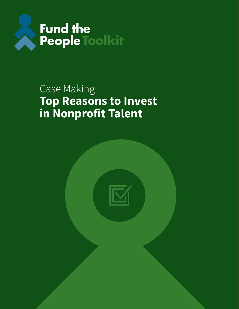

## Case Making **Top Reasons to Invest in Nonprofit Talent**

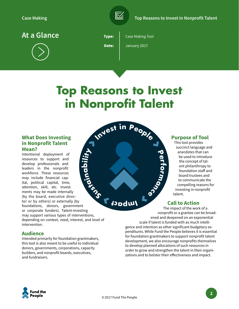

**At a Glance**

![](_page_1_Picture_4.jpeg)

Type: Date:

Case Making Tool

January 2017

# **Top Reasons to Invest in Nonprofit Talent**

#### **What Does Investing in Nonprofit Talent Mean?**

**Sus at ni a b** Intentional deployment of resources to support and develop professionals and leaders in the nonprofit workforce. These resources may include financial capital, political capital, time, attention, skill, etc. Investments may be made internally (by the board, executive director or by others) or externally (by foundations, donors, government or corporate funders). Talent-investing may support various types of interventions, depending on context, need, interest, and level of intervention.

#### **Audience**

Intended primarily for foundation grantmakers, this tool is also meant to be useful to individual donors, governments, corporations, capacity builders, and nonprofit boards, executives, and fundraisers.

![](_page_1_Figure_13.jpeg)

#### **Purpose of Tool**

This tool provides succinct language and anecdotes that can be used to introduce the concept of talent philanthropy to foundation staff and board trustees and to communicate the compelling reasons for investing in nonprofit talent.

#### **Call to Action**

The impact of the work of a nonprofit or a grantee can be broadened and deepened on an exponential scale if talent is funded with as much intelligence and intention as other significant budgetary expenditures. While Fund the People believes it is essential for foundation grantmakers to support nonprofit talent development, we also encourage nonprofits themselves to develop planned allocations of such resources in order to grow and strengthen the talent in their organizations and to bolster their effectiveness and impact.

![](_page_1_Picture_18.jpeg)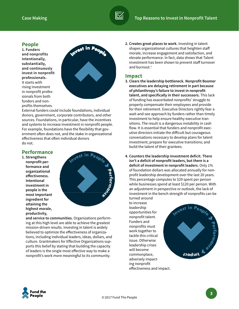#### **People**

**1. Funders and nonprofits intentionally, substantially, and continuously invest in nonprofit professionals.**  It starts with rising investment in nonprofit professionals from both funders and nonprofits themselves.

![](_page_2_Picture_4.jpeg)

External funders could include foundations, individual donors, government, corporate contributors, and other sources. Foundations, in particular, have the incentives and systems to increase investment in nonprofit people. For example, foundations have the flexibility that government often does not, and the stake in organizational effectiveness that often individual donors do not.

#### **Performance**

**1. Strengthens nonprofit performance and organizational effectiveness. Intentional investment in people is the most important ingredient for attaining the highest morale, productivity,** 

![](_page_2_Picture_8.jpeg)

**and service to communities.** Organizations performing at this high level are able to achieve the greatest mission-driven results. Investing in talent is widely believed to optimize the effectiveness of organizations, including individual leaders, ideas, dollars, and culture. Grantmakers for Effective Organizations supports this belief by stating that building the capacity of leaders is the single most effective way to make a nonprofit's work more meaningful to its community.

**2. Creates great places to work.** Investing in talent shapes organizational cultures that heighten staff morale, increase engagement and satisfaction, and elevate performance. In fact, data shows that Talent investment has been shown to prevent staff turnover and burnout. $<sup>1</sup>$ </sup>

#### **Impact**

- **3. Clears the leadership bottleneck. Nonprofit Boomer executives are delaying retirement in part because of philanthropy's failure to invest in nonprofit talent, and specifically in their successors.** This lack of funding has exacerbated nonprofits' struggle to properly compensate their employees and provide for their retirement. Executive Directors rightly fear a wait-and-see approach by funders rather than timely investment to help ensure healthy executive transitions. The result is a dangerous instability in cash flow. It is essential that funders and nonprofit executive directors initiate the difficult but courageous conversations necessary to develop plans for talent investment; prepare for executive transitions; and build the talent of their grantees.
- **4. Counters the leadership investment deficit. There isn't a deficit of nonprofit leaders, but there is a deficit of investment in nonprofit leaders.** Only 1% of foundation dollars was allocated annually for nonprofit leadership development over the last 20 years. This percentage computes to \$29 spent per person while businesses spend at least \$120 per person. With an adjustment in perspective or outlook, the lack of investment in the bench strength of nonprofits can be turned around

to increase leadership opportunities for nonprofit talent. Funders and nonprofits must work together to tackle this critical issue. Otherwise leadership crises will become commonplace, adversely impacting nonprofit effectiveness and impact.

![](_page_2_Picture_15.jpeg)

![](_page_2_Picture_16.jpeg)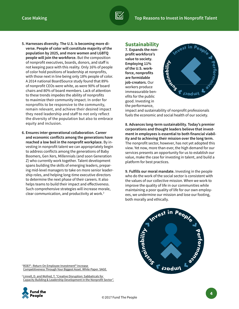- **5. Harnesses diversity. The U.S. is becoming more diverse. People of color will constitute majority of the population by 2025, and more women and LGBTQ people will join the workforce.** But the composition of nonprofit executives, boards, donors, and staff is not keeping pace with this reality. Only 16% of people of color hold positions of leadership at nonprofits, with those next in line being only 18% people of color. A 2014 national BoardSource study found that 89% of nonprofit CEOs were white, as were 90% of board chairs and 80% of board members. Lack of attention to these trends impedes the ability of nonprofits to maximize their community impact. In order for nonprofits to be responsive to the community, remain relevant, and achieve their desired impact they need leadership and staff to not only reflect the diversity of the population but also to embrace equity and inclusion.
- **6. Ensures inter-generational collaboration. Career and economic conflicts among the generations have reached a low boil in the nonprofit workplace.** By investing in nonprofit talent we can appropriately begin to address conflicts among the generations of Baby Boomers, Gen Xers, Millennials (and soon Generation Z) who currently work together. Talent development spans building the skills of emerging leaders, preparing mid-level managers to take on more senior leadership roles, and helping long-time executive directors to determine the next phase of their careers. It also helps teams to build their impact and effectiveness. Such comprehensive strategies will increase morale, clear communication, and productivity at work.2

#### **Sustainability**

**7. Expands the nonprofit workforce's value to society. Employing 11% of the U.S. workforce, nonprofits are formidable job-creators.** Our workers produce immeasurable benefits for the public good. Investing in the performance,

![](_page_3_Picture_6.jpeg)

impact and sustainability of nonprofit professionals fuels the economic and social health of our society.

**8. Advances long-term sustainability. Today's premier corporations and thought leaders believe that investment in employees is essential to both financial viability and to achieving their mission over the long term.**  The nonprofit sector, however, has not yet adopted this view. Yet now, more than ever, the high demand for our services presents an opportunity for us to establish our value, make the case for investing in talent, and build a platform for best practices.

**9. Fulfills our moral mandate.** Investing in the people who do the work of the social sector is consistent with the values of our collective mission. When we work to improve the quality of life in our communities while maintaining a poor quality of life for our own employees, we undermine our mission and lose our footing, both morally and ethically.

![](_page_3_Figure_10.jpeg)

1  [ROEI® : Return On Employee Investment® Increase](https://www.sage.com/na/~/media/site/Sage%20HRMS/pdf/white_papers/SageHRMS_ROEI.pdf)  [Competitiveness Through Your Biggest Asset. White Paper. SAGE.](https://www.sage.com/na/~/media/site/Sage%20HRMS/pdf/white_papers/SageHRMS_ROEI.pdf)

2  [Linnell, D. and Wofred, T. "Creative Disruption: Sabbaticals for](https://durfee.org/durfee-content/uploads/2016/06/Creative-Disruption-Sabbatical-Monograph.pdf)  [Capacity Building & Leadership Development in the Nonprofit Sector".](https://durfee.org/durfee-content/uploads/2016/06/Creative-Disruption-Sabbatical-Monograph.pdf)

![](_page_3_Picture_13.jpeg)